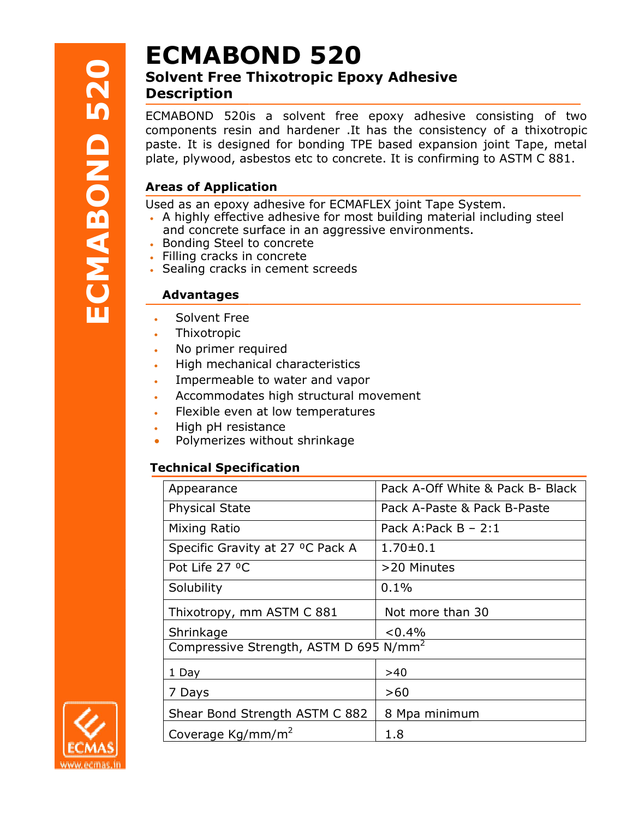# **ECMABOND 520**

# Solvent Free Thixotropic Epoxy Adhesive **Description**

ECMABOND 520E<br>
Solvent Free Thixotropic Epoxy Adhesive<br>
Description<br>
ECMABOND 520is a solvent free epoxy adhesive consisting of two<br>
components resin and hardener. It has the consistency of a thixotropic<br>
paste. It is desi ECMABOND 520is a solvent free epoxy adhesive consisting of two components resin and hardener .It has the consistency of a thixotropic ECMABOND 520is a solvent free epoxy adhesive consisting of two<br>components resin and hardener .It has the consistency of a thixotropic<br>paste. It is designed for bonding TPE based expansion joint Tape, metal plate, plywood, asbestos etc to concrete. It is confirming to ASTM C 881. MABOND 5201s a solvent free epoxy adhesive consisting of two<br>maponents resin and hardener. It has the consistency of a thixotropic<br>tee. It is designed for bonding TPE based expansion joint Tape, metal<br>te, plywood, asbestos

## Areas of Application **provides a set of Application**

Used as an epoxy adhesive for ECMAFLEX joint Tape System.

- A highly effective adhesive for most building material including steel and concrete surface in an aggressive environments.
- Bonding Steel to concrete
- Filling cracks in concrete
- Sealing cracks in cement screeds

# Advantages

- Solvent Free
- Thixotropic
- No primer required
- Solvent Free<br>• Thixotropic<br>• No primer required<br>• High mechanical characteristics
- Impermeable to water and vapor
- Accommodates high structural movement
- Flexible even at low temperatures
- High pH resistance
- Polymerizes without shrinkage

# Technical Specification

| Appearance                                         | Pack A-Off White & Pack B- Black |
|----------------------------------------------------|----------------------------------|
| <b>Physical State</b>                              | Pack A-Paste & Pack B-Paste      |
| Mixing Ratio                                       | Pack A: Pack $B - 2:1$           |
| Specific Gravity at 27 °C Pack A                   | $1.70 \pm 0.1$                   |
| Pot Life 27 °C                                     | >20 Minutes                      |
| Solubility                                         | 0.1%                             |
| Thixotropy, mm ASTM C 881                          | Not more than 30                 |
| Shrinkage                                          | $< 0.4\%$                        |
| Compressive Strength, ASTM D 695 N/mm <sup>2</sup> |                                  |
| 1 Day                                              | >40                              |
| 7 Days                                             | >60                              |
| Shear Bond Strength ASTM C 882                     | 8 Mpa minimum                    |
| Coverage Kg/mm/m <sup>2</sup>                      | 1.8                              |